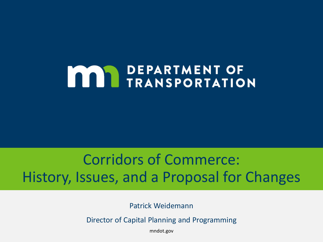# **MAY DEPARTMENT OF THE TRANSPORTATION**

#### Corridors of Commerce: History, Issues, and a Proposal for Changes

Patrick Weidemann

Director of Capital Planning and Programming

mndot.gov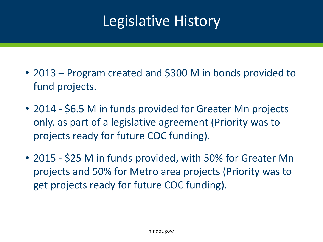### Legislative History

- 2013 Program created and \$300 M in bonds provided to fund projects.
- 2014 \$6.5 M in funds provided for Greater Mn projects only, as part of a legislative agreement (Priority was to projects ready for future COC funding).
- 2015 \$25 M in funds provided, with 50% for Greater Mn projects and 50% for Metro area projects (Priority was to get projects ready for future COC funding).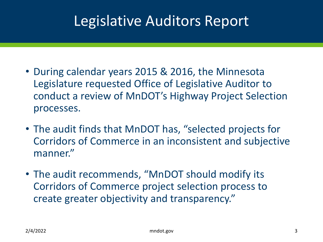### Legislative Auditors Report

- During calendar years 2015 & 2016, the Minnesota Legislature requested Office of Legislative Auditor to conduct a review of MnDOT's Highway Project Selection processes.
- The audit finds that MnDOT has, "selected projects for Corridors of Commerce in an inconsistent and subjective manner."
- The audit recommends, "MnDOT should modify its Corridors of Commerce project selection process to create greater objectivity and transparency."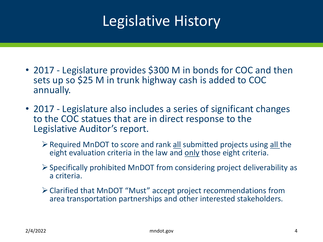### Legislative History

- 2017 Legislature provides \$300 M in bonds for COC and then sets up so \$25 M in trunk highway cash is added to COC annually.
- 2017 Legislature also includes a series of significant changes to the COC statues that are in direct response to the Legislative Auditor's report.
	- $\triangleright$  Required MnDOT to score and rank all submitted projects using all the eight evaluation criteria in the law and only those eight criteria.
	- $\triangleright$  Specifically prohibited MnDOT from considering project deliverability as a criteria.
	- Clarified that MnDOT "Must" accept project recommendations from area transportation partnerships and other interested stakeholders.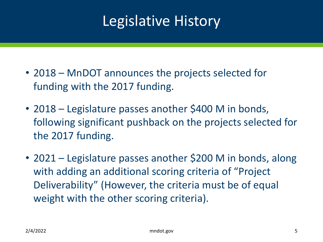### Legislative History

- 2018 MnDOT announces the projects selected for funding with the 2017 funding.
- 2018 Legislature passes another \$400 M in bonds, following significant pushback on the projects selected for the 2017 funding.
- 2021 Legislature passes another \$200 M in bonds, along with adding an additional scoring criteria of "Project" Deliverability" (However, the criteria must be of equal weight with the other scoring criteria).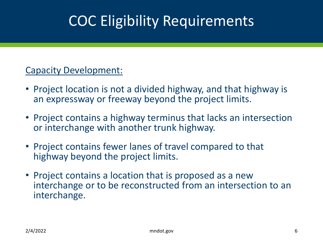### COC Eligibility Requirements

#### Capacity Development:

- Project location is not a divided highway, and that highway is an expressway or freeway beyond the project limits.
- Project contains a highway terminus that lacks an intersection or interchange with another trunk highway.
- Project contains fewer lanes of travel compared to that highway beyond the project limits.
- Project contains a location that is proposed as a new interchange or to be reconstructed from an intersection to an interchange.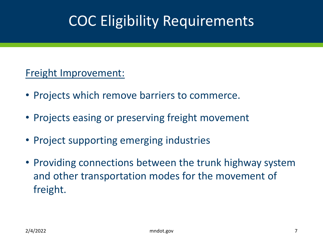### COC Eligibility Requirements

#### Freight Improvement:

- Projects which remove barriers to commerce.
- Projects easing or preserving freight movement
- Project supporting emerging industries
- Providing connections between the trunk highway system and other transportation modes for the movement of freight.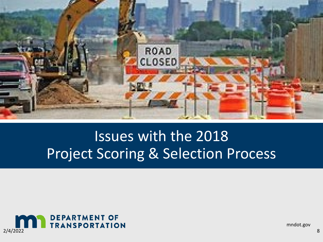

### Issues with the 2018 Project Scoring & Selection Process



mndot.gov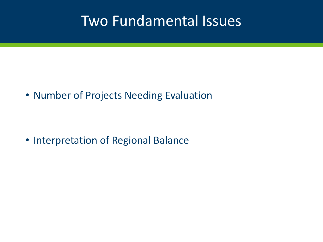#### Two Fundamental Issues

• Number of Projects Needing Evaluation

• Interpretation of Regional Balance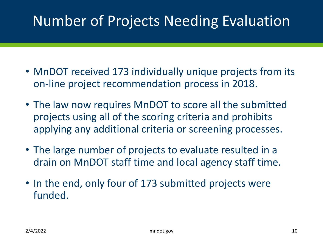### Number of Projects Needing Evaluation

- MnDOT received 173 individually unique projects from its on-line project recommendation process in 2018.
- The law now requires MnDOT to score all the submitted projects using all of the scoring criteria and prohibits applying any additional criteria or screening processes.
- The large number of projects to evaluate resulted in a drain on MnDOT staff time and local agency staff time.
- In the end, only four of 173 submitted projects were funded.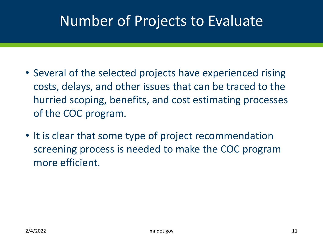### Number of Projects to Evaluate

- Several of the selected projects have experienced rising costs, delays, and other issues that can be traced to the hurried scoping, benefits, and cost estimating processes of the COC program.
- It is clear that some type of project recommendation screening process is needed to make the COC program more efficient.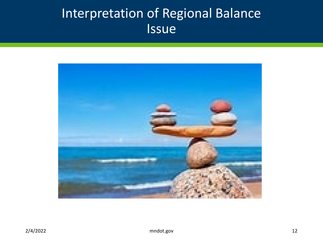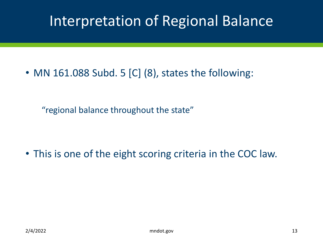• MN 161.088 Subd. 5 [C] (8), states the following:

"regional balance throughout the state"

• This is one of the eight scoring criteria in the COC law.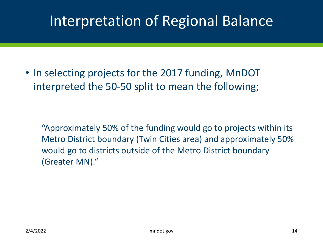• In selecting projects for the 2017 funding, MnDOT interpreted the 50-50 split to mean the following;

"Approximately 50% of the funding would go to projects within its Metro District boundary (Twin Cities area) and approximately 50% would go to districts outside of the Metro District boundary (Greater MN)."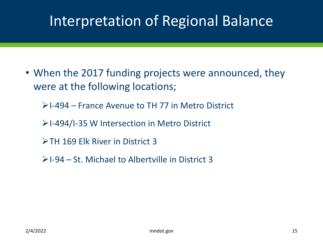• When the 2017 funding projects were announced, they were at the following locations;

 $\ge$  I-494 – France Avenue to TH 77 in Metro District

- $\ge$  I-494/I-35 W Intersection in Metro District
- TH 169 Elk River in District 3
- $\triangleright$  I-94 St. Michael to Albertville in District 3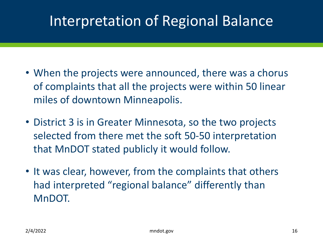- When the projects were announced, there was a chorus of complaints that all the projects were within 50 linear miles of downtown Minneapolis.
- District 3 is in Greater Minnesota, so the two projects selected from there met the soft 50-50 interpretation that MnDOT stated publicly it would follow.
- It was clear, however, from the complaints that others had interpreted "regional balance" differently than MnDOT.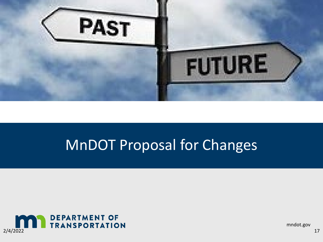

### MnDOT Proposal for Changes



mndot.gov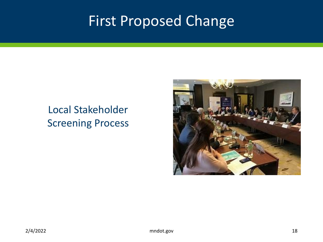### First Proposed Change

#### Local Stakeholder Screening Process

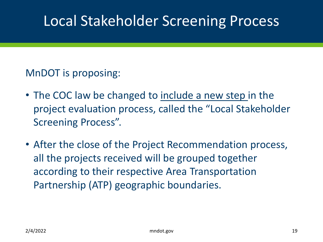#### MnDOT is proposing:

- The COC law be changed to include a new step in the project evaluation process, called the "Local Stakeholder Screening Process".
- After the close of the Project Recommendation process, all the projects received will be grouped together according to their respective Area Transportation Partnership (ATP) geographic boundaries.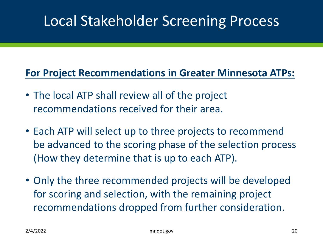#### **For Project Recommendations in Greater Minnesota ATPs:**

- The local ATP shall review all of the project recommendations received for their area.
- Each ATP will select up to three projects to recommend be advanced to the scoring phase of the selection process (How they determine that is up to each ATP).
- Only the three recommended projects will be developed for scoring and selection, with the remaining project recommendations dropped from further consideration.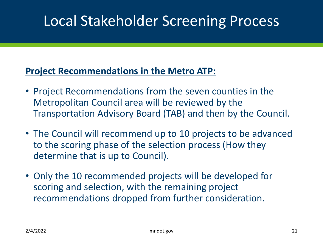#### **Project Recommendations in the Metro ATP:**

- Project Recommendations from the seven counties in the Metropolitan Council area will be reviewed by the Transportation Advisory Board (TAB) and then by the Council.
- The Council will recommend up to 10 projects to be advanced to the scoring phase of the selection process (How they determine that is up to Council).
- Only the 10 recommended projects will be developed for scoring and selection, with the remaining project recommendations dropped from further consideration.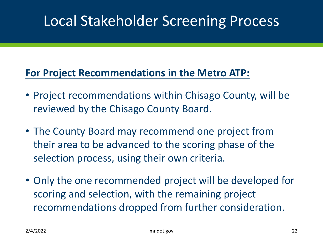#### **For Project Recommendations in the Metro ATP:**

- Project recommendations within Chisago County, will be reviewed by the Chisago County Board.
- The County Board may recommend one project from their area to be advanced to the scoring phase of the selection process, using their own criteria.
- Only the one recommended project will be developed for scoring and selection, with the remaining project recommendations dropped from further consideration.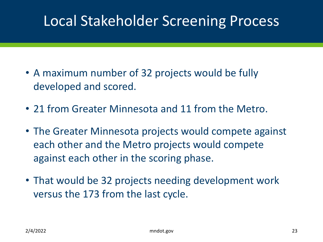- A maximum number of 32 projects would be fully developed and scored.
- 21 from Greater Minnesota and 11 from the Metro.
- The Greater Minnesota projects would compete against each other and the Metro projects would compete against each other in the scoring phase.
- That would be 32 projects needing development work versus the 173 from the last cycle.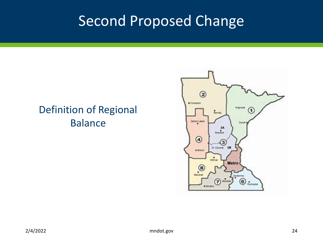### Second Proposed Change

#### Definition of Regional Balance

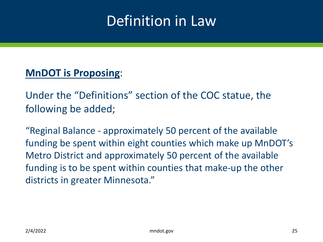### Definition in Law

#### **MnDOT is Proposing**:

Under the "Definitions" section of the COC statue, the following be added;

"Reginal Balance - approximately 50 percent of the available funding be spent within eight counties which make up MnDOT's Metro District and approximately 50 percent of the available funding is to be spent within counties that make-up the other districts in greater Minnesota."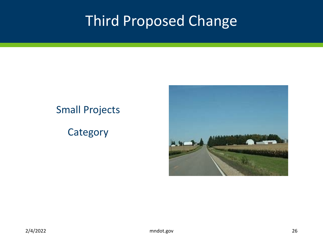### Third Proposed Change

#### Small Projects

#### **Category**

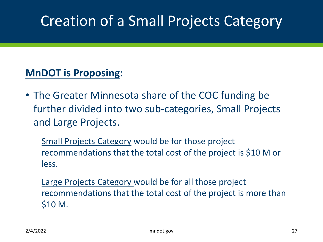## Creation of a Small Projects Category

#### **MnDOT is Proposing**:

• The Greater Minnesota share of the COC funding be further divided into two sub-categories, Small Projects and Large Projects.

Small Projects Category would be for those project recommendations that the total cost of the project is \$10 M or less.

Large Projects Category would be for all those project recommendations that the total cost of the project is more than \$10 M.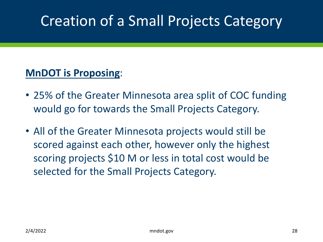## Creation of a Small Projects Category

#### **MnDOT is Proposing**:

- 25% of the Greater Minnesota area split of COC funding would go for towards the Small Projects Category.
- All of the Greater Minnesota projects would still be scored against each other, however only the highest scoring projects \$10 M or less in total cost would be selected for the Small Projects Category.